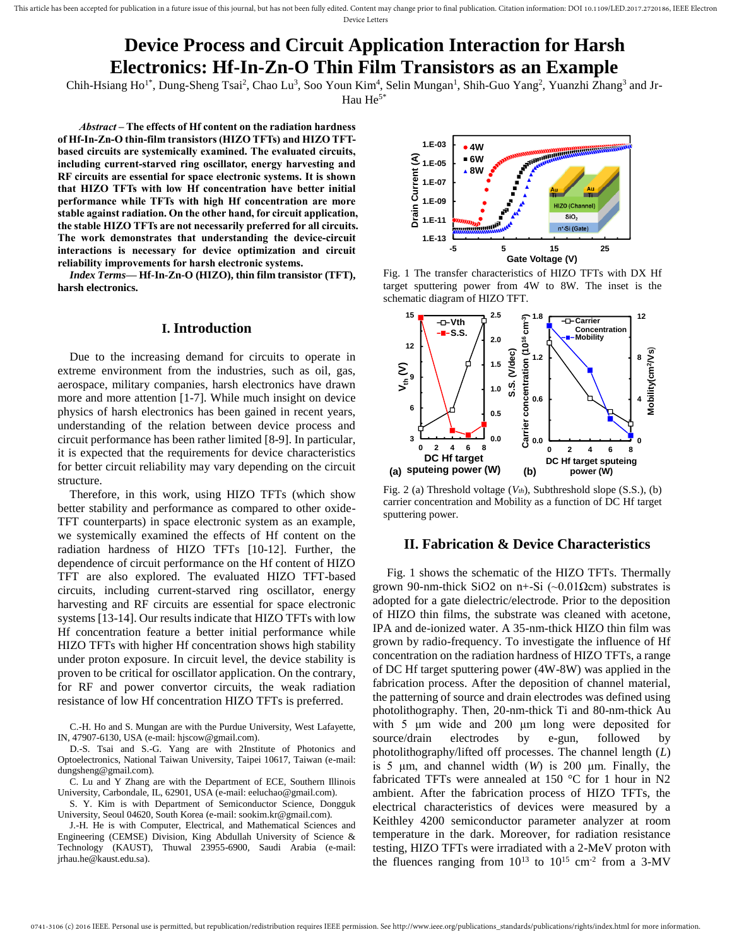# **Device Process and Circuit Application Interaction for Harsh Electronics: Hf-In-Zn-O Thin Film Transistors as an Example**

Chih-Hsiang Ho<sup>1\*</sup>, Dung-Sheng Tsai<sup>2</sup>, Chao Lu<sup>3</sup>, Soo Youn Kim<sup>4</sup>, Selin Mungan<sup>1</sup>, Shih-Guo Yang<sup>2</sup>, Yuanzhi Zhang<sup>3</sup> and Jr-Hau He<sup>5\*</sup>

*Abstract –* **The effects of Hf content on the radiation hardness of Hf-In-Zn-O thin-film transistors (HIZO TFTs) and HIZO TFTbased circuits are systemically examined. The evaluated circuits, including current-starved ring oscillator, energy harvesting and RF circuits are essential for space electronic systems. It is shown that HIZO TFTs with low Hf concentration have better initial performance while TFTs with high Hf concentration are more stable against radiation. On the other hand, for circuit application, the stable HIZO TFTs are not necessarily preferred for all circuits. The work demonstrates that understanding the device-circuit interactions is necessary for device optimization and circuit reliability improvements for harsh electronic systems.**

*Index Terms***— Hf-In-Zn-O (HIZO), thin film transistor (TFT), harsh electronics.** 

### **I. Introduction**

Due to the increasing demand for circuits to operate in extreme environment from the industries, such as oil, gas, aerospace, military companies, harsh electronics have drawn more and more attention [1-7]. While much insight on device physics of harsh electronics has been gained in recent years, understanding of the relation between device process and circuit performance has been rather limited [8-9]. In particular, it is expected that the requirements for device characteristics for better circuit reliability may vary depending on the circuit structure.

Therefore, in this work, using HIZO TFTs (which show better stability and performance as compared to other oxide-TFT counterparts) in space electronic system as an example, we systemically examined the effects of Hf content on the radiation hardness of HIZO TFTs [10-12]. Further, the dependence of circuit performance on the Hf content of HIZO TFT are also explored. The evaluated HIZO TFT-based circuits, including current-starved ring oscillator, energy harvesting and RF circuits are essential for space electronic systems [13-14]. Our results indicate that HIZO TFTs with low Hf concentration feature a better initial performance while HIZO TFTs with higher Hf concentration shows high stability under proton exposure. In circuit level, the device stability is proven to be critical for oscillator application. On the contrary, for RF and power convertor circuits, the weak radiation resistance of low Hf concentration HIZO TFTs is preferred.

C.-H. Ho and S. Mungan are with the Purdue University, West Lafayette, IN, 47907-6130, USA (e-mail: hjscow@gmail.com).

D.-S. Tsai and S.-G. Yang are with 2Institute of Photonics and Optoelectronics, National Taiwan University, Taipei 10617, Taiwan (e-mail: dungsheng@gmail.com).

C. Lu and Y Zhang are with the Department of ECE, Southern Illinois University, Carbondale, IL, 62901, USA (e-mail: eeluchao@gmail.com).

S. Y. Kim is with Department of Semiconductor Science, Dongguk University, Seoul 04620, South Korea (e-mail: sookim.kr@gmail.com).

J.-H. He is with Computer, Electrical, and Mathematical Sciences and Engineering (CEMSE) Division, King Abdullah University of Science & Technology (KAUST), Thuwal 23955-6900, Saudi Arabia (e-mail: jrhau.he@kaust.edu.sa).



Fig. 1 The transfer characteristics of HIZO TFTs with DX Hf target sputtering power from 4W to 8W. The inset is the schematic diagram of HIZO TFT.



Fig. 2 (a) Threshold voltage (*Vth*), Subthreshold slope (S.S.), (b) carrier concentration and Mobility as a function of DC Hf target sputtering power.

#### **II. Fabrication & Device Characteristics**

 Fig. 1 shows the schematic of the HIZO TFTs. Thermally grown 90-nm-thick SiO2 on n+-Si  $(\sim 0.01 \Omega \text{cm})$  substrates is adopted for a gate dielectric/electrode. Prior to the deposition of HIZO thin films, the substrate was cleaned with acetone, IPA and de-ionized water. A 35-nm-thick HIZO thin film was grown by radio-frequency. To investigate the influence of Hf concentration on the radiation hardness of HIZO TFTs, a range of DC Hf target sputtering power (4W-8W) was applied in the fabrication process. After the deposition of channel material, the patterning of source and drain electrodes was defined using photolithography. Then, 20-nm-thick Ti and 80-nm-thick Au with 5 μm wide and 200 μm long were deposited for source/drain electrodes by e-gun, followed by photolithography/lifted off processes. The channel length (*L*) is 5 μm, and channel width (*W*) is 200 μm. Finally, the fabricated TFTs were annealed at 150  $^{\circ}$ C for 1 hour in N2 ambient. After the fabrication process of HIZO TFTs, the electrical characteristics of devices were measured by a Keithley 4200 semiconductor parameter analyzer at room temperature in the dark. Moreover, for radiation resistance testing, HIZO TFTs were irradiated with a 2-MeV proton with the fluences ranging from  $10^{13}$  to  $10^{15}$  cm<sup>-2</sup> from a 3-MV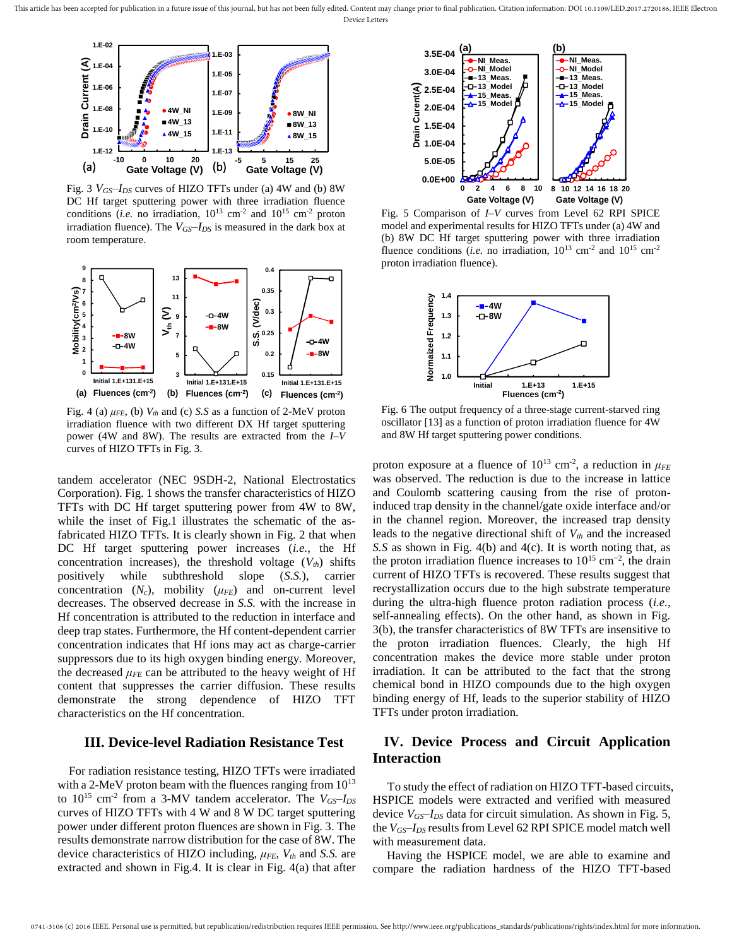This article has been accepted for publication in a future issue of this journal, but has not been fully edited. Content may change prior to final publication. Citation information: DOI 10.1109/LED.2017.2720186, IEEE Elect Device Letters



Fig. 3 *VGS–IDS* curves of HIZO TFTs under (a) 4W and (b) 8W DC Hf target sputtering power with three irradiation fluence conditions (*i.e.* no irradiation,  $10^{13}$  cm<sup>-2</sup> and  $10^{15}$  cm<sup>-2</sup> proton irradiation fluence). The *VGS–IDS* is measured in the dark box at room temperature.



Fig. 4 (a) *μFE*, (b) *Vth* and (c) *S.S* as a function of 2-MeV proton irradiation fluence with two different DX Hf target sputtering power (4W and 8W). The results are extracted from the *I–V* curves of HIZO TFTs in Fig. 3.

tandem accelerator (NEC 9SDH-2, National Electrostatics Corporation). Fig. 1 shows the transfer characteristics of HIZO TFTs with DC Hf target sputtering power from 4W to 8W, while the inset of Fig.1 illustrates the schematic of the asfabricated HIZO TFTs. It is clearly shown in Fig. 2 that when DC Hf target sputtering power increases (*i.e.*, the Hf concentration increases), the threshold voltage (*Vth*) shifts positively while subthreshold slope (*S.S.*), carrier concentration  $(N_c)$ , mobility  $(\mu_{FE})$  and on-current level decreases. The observed decrease in *S.S.* with the increase in Hf concentration is attributed to the reduction in interface and deep trap states. Furthermore, the Hf content-dependent carrier concentration indicates that Hf ions may act as charge-carrier suppressors due to its high oxygen binding energy. Moreover, the decreased  $\mu$ <sub>*FE*</sub> can be attributed to the heavy weight of Hf content that suppresses the carrier diffusion. These results demonstrate the strong dependence of HIZO TFT characteristics on the Hf concentration.

## **III. Device-level Radiation Resistance Test**

For radiation resistance testing, HIZO TFTs were irradiated with a 2-MeV proton beam with the fluences ranging from  $10^{13}$ to  $10^{15}$  cm<sup>-2</sup> from a 3-MV tandem accelerator. The  $V_{GS}$ - $I_{DS}$ curves of HIZO TFTs with 4 W and 8 W DC target sputtering power under different proton fluences are shown in Fig. 3. The results demonstrate narrow distribution for the case of 8W. The device characteristics of HIZO including, *μFE*, *Vth* and *S.S.* are extracted and shown in Fig.4. It is clear in Fig. 4(a) that after



Fig. 5 Comparison of *I–V* curves from Level 62 RPI SPICE model and experimental results for HIZO TFTs under (a) 4W and (b) 8W DC Hf target sputtering power with three irradiation fluence conditions (*i.e.* no irradiation,  $10^{13}$  cm<sup>-2</sup> and  $10^{15}$  cm<sup>-2</sup> proton irradiation fluence).



Fig. 6 The output frequency of a three-stage current-starved ring oscillator [13] as a function of proton irradiation fluence for 4W and 8W Hf target sputtering power conditions.

proton exposure at a fluence of  $10^{13}$  cm<sup>-2</sup>, a reduction in  $\mu$ <sub>FE</sub> was observed. The reduction is due to the increase in lattice and Coulomb scattering causing from the rise of protoninduced trap density in the channel/gate oxide interface and/or in the channel region. Moreover, the increased trap density leads to the negative directional shift of *Vth* and the increased *S.S* as shown in Fig. 4(b) and 4(c). It is worth noting that, as the proton irradiation fluence increases to  $10^{15}$  cm<sup>-2</sup>, the drain current of HIZO TFTs is recovered. These results suggest that recrystallization occurs due to the high substrate temperature during the ultra-high fluence proton radiation process (*i.e.*, self-annealing effects). On the other hand, as shown in Fig. 3(b), the transfer characteristics of 8W TFTs are insensitive to the proton irradiation fluences. Clearly, the high Hf concentration makes the device more stable under proton irradiation. It can be attributed to the fact that the strong chemical bond in HIZO compounds due to the high oxygen binding energy of Hf, leads to the superior stability of HIZO TFTs under proton irradiation.

# **IV. Device Process and Circuit Application Interaction**

To study the effect of radiation on HIZO TFT-based circuits, HSPICE models were extracted and verified with measured device *VGS–IDS* data for circuit simulation. As shown in Fig. 5, the *VGS–IDS* results from Level 62 RPI SPICE model match well with measurement data.

 Having the HSPICE model, we are able to examine and compare the radiation hardness of the HIZO TFT-based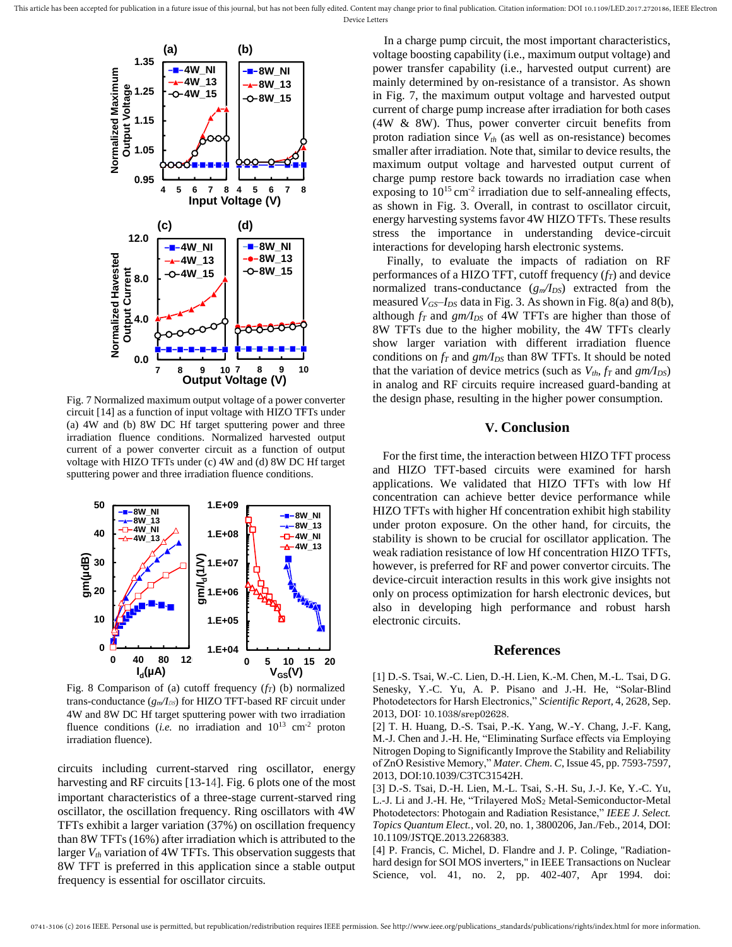This article has been accepted for publication in a future issue of this journal, but has not been fully edited. Content may change prior to final publication. Citation information: DOI 10.1109/LED.2017.2720186, IEEE Elect Device Letters



Fig. 7 Normalized maximum output voltage of a power converter circuit [14] as a function of input voltage with HIZO TFTs under (a) 4W and (b) 8W DC Hf target sputtering power and three irradiation fluence conditions. Normalized harvested output current of a power converter circuit as a function of output voltage with HIZO TFTs under (c) 4W and (d) 8W DC Hf target sputtering power and three irradiation fluence conditions.



Fig. 8 Comparison of (a) cutoff frequency (*fT*) (b) normalized trans-conductance ( $g_m/I_{DS}$ ) for HIZO TFT-based RF circuit under 4W and 8W DC Hf target sputtering power with two irradiation fluence conditions (*i.e.* no irradiation and  $10^{13}$  cm<sup>-2</sup> proton irradiation fluence).

circuits including current-starved ring oscillator, energy harvesting and RF circuits [13-14]. Fig. 6 plots one of the most important characteristics of a three-stage current-starved ring oscillator, the oscillation frequency. Ring oscillators with 4W TFTs exhibit a larger variation (37%) on oscillation frequency than 8W TFTs (16%) after irradiation which is attributed to the larger *Vth* variation of 4W TFTs. This observation suggests that 8W TFT is preferred in this application since a stable output frequency is essential for oscillator circuits.

In a charge pump circuit, the most important characteristics, voltage boosting capability (i.e., maximum output voltage) and power transfer capability (i.e., harvested output current) are mainly determined by on-resistance of a transistor. As shown in Fig. 7, the maximum output voltage and harvested output current of charge pump increase after irradiation for both cases (4W & 8W). Thus, power converter circuit benefits from proton radiation since *Vth* (as well as on-resistance) becomes smaller after irradiation. Note that, similar to device results, the maximum output voltage and harvested output current of charge pump restore back towards no irradiation case when exposing to  $10^{15}$  cm<sup>-2</sup> irradiation due to self-annealing effects, as shown in Fig. 3. Overall, in contrast to oscillator circuit, energy harvesting systems favor 4W HIZO TFTs. These results stress the importance in understanding device-circuit interactions for developing harsh electronic systems.

 Finally, to evaluate the impacts of radiation on RF performances of a HIZO TFT, cutoff frequency (*fT*) and device normalized trans-conductance (*gm/IDS*) extracted from the measured *VGS*–*IDS* data in Fig. 3. As shown in Fig. 8(a) and 8(b), although  $f_T$  and  $gm/I_{DS}$  of 4W TFTs are higher than those of 8W TFTs due to the higher mobility, the 4W TFTs clearly show larger variation with different irradiation fluence conditions on *fT* and *gm/IDS* than 8W TFTs. It should be noted that the variation of device metrics (such as  $V_{th}$ ,  $f_T$  and  $gm/I_{DS}$ ) in analog and RF circuits require increased guard-banding at the design phase, resulting in the higher power consumption.

## **V. Conclusion**

For the first time, the interaction between HIZO TFT process and HIZO TFT-based circuits were examined for harsh applications. We validated that HIZO TFTs with low Hf concentration can achieve better device performance while HIZO TFTs with higher Hf concentration exhibit high stability under proton exposure. On the other hand, for circuits, the stability is shown to be crucial for oscillator application. The weak radiation resistance of low Hf concentration HIZO TFTs, however, is preferred for RF and power convertor circuits. The device-circuit interaction results in this work give insights not only on process optimization for harsh electronic devices, but also in developing high performance and robust harsh electronic circuits.

#### **References**

[1] D.-S. Tsai, W.-C. Lien, D.-H. Lien, K.-M. Chen, M.-L. Tsai, D G. Senesky, Y.-C. Yu, A. P. Pisano and J.-H. He, "Solar-Blind Photodetectors for Harsh Electronics," *Scientific Report,* 4, 2628, Sep. 2013, DOI: 10.1038/srep02628.

[2] T. H. Huang, D.-S. Tsai, P.-K. Yang, W.-Y. Chang, J.-F. Kang, M.-J. Chen and J.-H. He, "Eliminating Surface effects via Employing Nitrogen Doping to Significantly Improve the Stability and Reliability of ZnO Resistive Memory," *Mater. Chem. C*, Issue 45, pp. 7593-7597, 2013, DOI:10.1039/C3TC31542H.

[3] D.-S. Tsai, D.-H. Lien, M.-L. Tsai, S.-H. Su, J.-J. Ke, Y.-C. Yu, L.-J. Li and J.-H. He, "Trilayered MoS<sub>2</sub> Metal-Semiconductor-Metal Photodetectors: Photogain and Radiation Resistance," *IEEE J. Select. Topics Quantum Elect.,* vol. 20, no. 1, 3800206, Jan./Feb., 2014, DOI: 10.1109/JSTQE.2013.2268383.

[4] P. Francis, C. Michel, D. Flandre and J. P. Colinge, "Radiationhard design for SOI MOS inverters," in IEEE Transactions on Nuclear Science, vol. 41, no. 2, pp. 402-407, Apr 1994. doi: